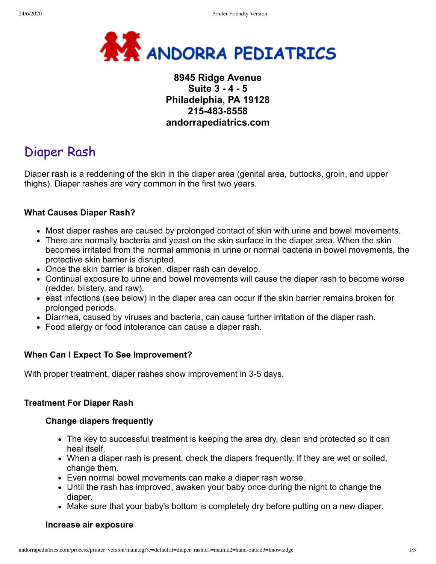

## **8945 Ridge Avenue Suite 3 - 4 - 5 Philadelphia, PA 19128 215-483-8558 andorrapediatrics.com**

# Diaper Rash

Diaper rash is a reddening of the skin in the diaper area (genital area, buttocks, groin, and upper thighs). Diaper rashes are very common in the first two years.

## **What Causes Diaper Rash?**

- Most diaper rashes are caused by prolonged contact of skin with urine and bowel movements.
- There are normally bacteria and yeast on the skin surface in the diaper area. When the skin becomes irritated from the normal ammonia in urine or normal bacteria in bowel movements, the protective skin barrier is disrupted.
- Once the skin barrier is broken, diaper rash can develop.
- Continual exposure to urine and bowel movements will cause the diaper rash to become worse (redder, blistery, and raw).
- east infections (see below) in the diaper area can occur if the skin barrier remains broken for prolonged periods.
- Diarrhea, caused by viruses and bacteria, can cause further irritation of the diaper rash.
- Food allergy or food intolerance can cause a diaper rash.

## **When Can I Expect To See Improvement?**

With proper treatment, diaper rashes show improvement in 3-5 days.

## **Treatment For Diaper Rash**

#### **Change diapers frequently**

- The key to successful treatment is keeping the area dry, clean and protected so it can heal itself.
- When a diaper rash is present, check the diapers frequently. If they are wet or soiled, change them.
- Even normal bowel movements can make a diaper rash worse.
- Until the rash has improved, awaken your baby once during the night to change the diaper.
- Make sure that your baby's bottom is completely dry before putting on a new diaper.

## **Increase air exposure**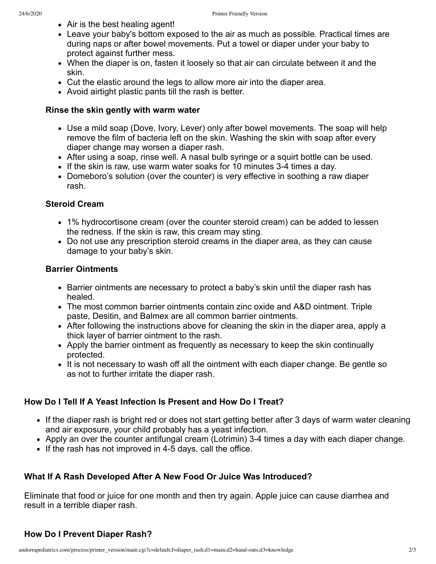- Air is the best healing agent!
- Leave your baby's bottom exposed to the air as much as possible. Practical times are during naps or after bowel movements. Put a towel or diaper under your baby to protect against further mess.
- When the diaper is on, fasten it loosely so that air can circulate between it and the skin.
- Cut the elastic around the legs to allow more air into the diaper area.
- Avoid airtight plastic pants till the rash is better.

#### **Rinse the skin gently with warm water**

- Use a mild soap (Dove, Ivory, Lever) only after bowel movements. The soap will help remove the film of bacteria left on the skin. Washing the skin with soap after every diaper change may worsen a diaper rash.
- After using a soap, rinse well. A nasal bulb syringe or a squirt bottle can be used.
- If the skin is raw, use warm water soaks for 10 minutes 3-4 times a day.
- Domeboro's solution (over the counter) is very effective in soothing a raw diaper rash.

#### **Steroid Cream**

- 1% hydrocortisone cream (over the counter steroid cream) can be added to lessen the redness. If the skin is raw, this cream may sting.
- Do not use any prescription steroid creams in the diaper area, as they can cause damage to your baby's skin.

#### **Barrier Ointments**

- Barrier ointments are necessary to protect a baby's skin until the diaper rash has healed.
- The most common barrier ointments contain zinc oxide and A&D ointment. Triple paste, Desitin, and Balmex are all common barrier ointments.
- After following the instructions above for cleaning the skin in the diaper area, apply a thick layer of barrier ointment to the rash.
- Apply the barrier ointment as frequently as necessary to keep the skin continually protected.
- It is not necessary to wash off all the ointment with each diaper change. Be gentle so as not to further irritate the diaper rash.

## **How Do I Tell If A Yeast Infection Is Present and How Do I Treat?**

- If the diaper rash is bright red or does not start getting better after 3 days of warm water cleaning and air exposure, your child probably has a yeast infection.
- Apply an over the counter antifungal cream (Lotrimin) 3-4 times a day with each diaper change.
- If the rash has not improved in 4-5 days, call the office.

## **What If A Rash Developed After A New Food Or Juice Was Introduced?**

Eliminate that food or juice for one month and then try again. Apple juice can cause diarrhea and result in a terrible diaper rash.

## **How Do I Prevent Diaper Rash?**